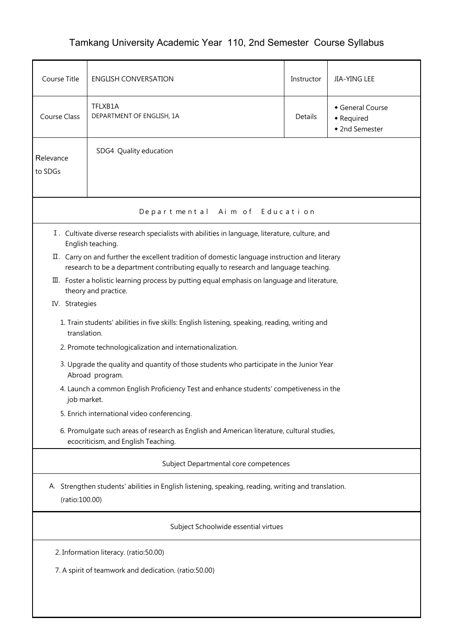## Tamkang University Academic Year 110, 2nd Semester Course Syllabus

| Course Title                                                                                                          | <b>ENGLISH CONVERSATION</b>                                                                                                                                                           | Instructor | JIA-YING LEE                                   |  |  |  |  |  |  |
|-----------------------------------------------------------------------------------------------------------------------|---------------------------------------------------------------------------------------------------------------------------------------------------------------------------------------|------------|------------------------------------------------|--|--|--|--|--|--|
| <b>Course Class</b>                                                                                                   | TFLXB1A<br>DEPARTMENT OF ENGLISH, 1A                                                                                                                                                  | Details    | General Course<br>• Required<br>• 2nd Semester |  |  |  |  |  |  |
| Relevance<br>to SDGs                                                                                                  | SDG4 Quality education                                                                                                                                                                |            |                                                |  |  |  |  |  |  |
| Departmental Aim of Education                                                                                         |                                                                                                                                                                                       |            |                                                |  |  |  |  |  |  |
| I. Cultivate diverse research specialists with abilities in language, literature, culture, and<br>English teaching.   |                                                                                                                                                                                       |            |                                                |  |  |  |  |  |  |
|                                                                                                                       | II. Carry on and further the excellent tradition of domestic language instruction and literary<br>research to be a department contributing equally to research and language teaching. |            |                                                |  |  |  |  |  |  |
| III. Foster a holistic learning process by putting equal emphasis on language and literature,<br>theory and practice. |                                                                                                                                                                                       |            |                                                |  |  |  |  |  |  |
| IV. Strategies                                                                                                        |                                                                                                                                                                                       |            |                                                |  |  |  |  |  |  |
| 1. Train students' abilities in five skills: English listening, speaking, reading, writing and<br>translation.        |                                                                                                                                                                                       |            |                                                |  |  |  |  |  |  |
| 2. Promote technologicalization and internationalization.                                                             |                                                                                                                                                                                       |            |                                                |  |  |  |  |  |  |
| 3. Upgrade the quality and quantity of those students who participate in the Junior Year<br>Abroad program.           |                                                                                                                                                                                       |            |                                                |  |  |  |  |  |  |
| 4. Launch a common English Proficiency Test and enhance students' competiveness in the<br>job market.                 |                                                                                                                                                                                       |            |                                                |  |  |  |  |  |  |
|                                                                                                                       | 5. Enrich international video conferencing.                                                                                                                                           |            |                                                |  |  |  |  |  |  |
|                                                                                                                       | 6. Promulgate such areas of research as English and American literature, cultural studies,<br>ecocriticism, and English Teaching.                                                     |            |                                                |  |  |  |  |  |  |
| Subject Departmental core competences                                                                                 |                                                                                                                                                                                       |            |                                                |  |  |  |  |  |  |
| A. Strengthen students' abilities in English listening, speaking, reading, writing and translation.<br>(ratio:100.00) |                                                                                                                                                                                       |            |                                                |  |  |  |  |  |  |
| Subject Schoolwide essential virtues                                                                                  |                                                                                                                                                                                       |            |                                                |  |  |  |  |  |  |
| 2. Information literacy. (ratio:50.00)                                                                                |                                                                                                                                                                                       |            |                                                |  |  |  |  |  |  |
| 7. A spirit of teamwork and dedication. (ratio:50.00)                                                                 |                                                                                                                                                                                       |            |                                                |  |  |  |  |  |  |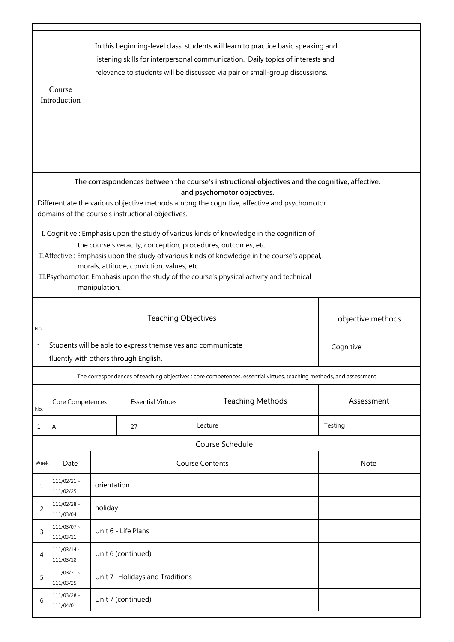|                                                                                                                                                                                                                                                                                                                                                                                                                      | Course<br>Introduction                                                                                            |                                 |                          | In this beginning-level class, students will learn to practice basic speaking and<br>listening skills for interpersonal communication. Daily topics of interests and<br>relevance to students will be discussed via pair or small-group discussions. |            |  |  |  |  |
|----------------------------------------------------------------------------------------------------------------------------------------------------------------------------------------------------------------------------------------------------------------------------------------------------------------------------------------------------------------------------------------------------------------------|-------------------------------------------------------------------------------------------------------------------|---------------------------------|--------------------------|------------------------------------------------------------------------------------------------------------------------------------------------------------------------------------------------------------------------------------------------------|------------|--|--|--|--|
| The correspondences between the course's instructional objectives and the cognitive, affective,<br>and psychomotor objectives.                                                                                                                                                                                                                                                                                       |                                                                                                                   |                                 |                          |                                                                                                                                                                                                                                                      |            |  |  |  |  |
| Differentiate the various objective methods among the cognitive, affective and psychomotor<br>domains of the course's instructional objectives.                                                                                                                                                                                                                                                                      |                                                                                                                   |                                 |                          |                                                                                                                                                                                                                                                      |            |  |  |  |  |
| I. Cognitive: Emphasis upon the study of various kinds of knowledge in the cognition of<br>the course's veracity, conception, procedures, outcomes, etc.<br>II. Affective: Emphasis upon the study of various kinds of knowledge in the course's appeal,<br>morals, attitude, conviction, values, etc.<br>III. Psychomotor: Emphasis upon the study of the course's physical activity and technical<br>manipulation. |                                                                                                                   |                                 |                          |                                                                                                                                                                                                                                                      |            |  |  |  |  |
| No.                                                                                                                                                                                                                                                                                                                                                                                                                  | <b>Teaching Objectives</b><br>objective methods                                                                   |                                 |                          |                                                                                                                                                                                                                                                      |            |  |  |  |  |
| $\mathbf 1$                                                                                                                                                                                                                                                                                                                                                                                                          | Students will be able to express themselves and communicate<br>Cognitive<br>fluently with others through English. |                                 |                          |                                                                                                                                                                                                                                                      |            |  |  |  |  |
|                                                                                                                                                                                                                                                                                                                                                                                                                      |                                                                                                                   |                                 |                          | The correspondences of teaching objectives : core competences, essential virtues, teaching methods, and assessment                                                                                                                                   |            |  |  |  |  |
| No.                                                                                                                                                                                                                                                                                                                                                                                                                  | Core Competences                                                                                                  |                                 | <b>Essential Virtues</b> | <b>Teaching Methods</b>                                                                                                                                                                                                                              | Assessment |  |  |  |  |
| 1                                                                                                                                                                                                                                                                                                                                                                                                                    | Α                                                                                                                 |                                 | 27                       | Lecture                                                                                                                                                                                                                                              | Testing    |  |  |  |  |
|                                                                                                                                                                                                                                                                                                                                                                                                                      |                                                                                                                   |                                 |                          | Course Schedule                                                                                                                                                                                                                                      |            |  |  |  |  |
| Week                                                                                                                                                                                                                                                                                                                                                                                                                 | Date                                                                                                              |                                 |                          | <b>Course Contents</b>                                                                                                                                                                                                                               | Note       |  |  |  |  |
| 1                                                                                                                                                                                                                                                                                                                                                                                                                    | $111/02/21$ ~<br>111/02/25                                                                                        | orientation                     |                          |                                                                                                                                                                                                                                                      |            |  |  |  |  |
| 2                                                                                                                                                                                                                                                                                                                                                                                                                    | $111/02/28$ ~<br>111/03/04                                                                                        | holiday                         |                          |                                                                                                                                                                                                                                                      |            |  |  |  |  |
| 3                                                                                                                                                                                                                                                                                                                                                                                                                    | $111/03/07$ ~<br>111/03/11                                                                                        | Unit 6 - Life Plans             |                          |                                                                                                                                                                                                                                                      |            |  |  |  |  |
| 4                                                                                                                                                                                                                                                                                                                                                                                                                    | $111/03/14$ ~<br>111/03/18                                                                                        |                                 | Unit 6 (continued)       |                                                                                                                                                                                                                                                      |            |  |  |  |  |
| 5                                                                                                                                                                                                                                                                                                                                                                                                                    | $111/03/21$ ~<br>111/03/25                                                                                        | Unit 7- Holidays and Traditions |                          |                                                                                                                                                                                                                                                      |            |  |  |  |  |
| 6                                                                                                                                                                                                                                                                                                                                                                                                                    | $111/03/28$ ~<br>111/04/01                                                                                        | Unit 7 (continued)              |                          |                                                                                                                                                                                                                                                      |            |  |  |  |  |